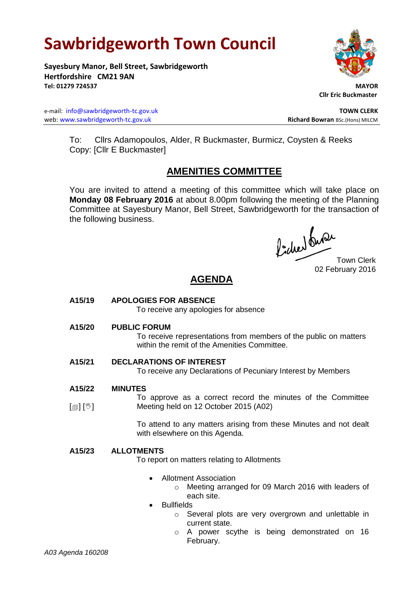# **Sawbridgeworth Town Council**

**Sayesbury Manor, Bell Street, Sawbridgeworth Hertfordshire CM21 9AN Tel: 01279 724537 MAYOR**

e-mail: [info@sawbridgeworth-tc.gov.uk](mailto:info@sawbridgeworth-tc.gov.uk) **TOWN CLERK** web: www.sawbridgeworth-tc.gov.uk<br> **Richard Bowran** BSc.(Hons) MILCM

 **Cllr Eric Buckmaster**

To: Cllrs Adamopoulos, Alder, R Buckmaster, Burmicz, Coysten & Reeks Copy: [Cllr E Buckmaster]

# **AMENITIES COMMITTEE**

You are invited to attend a meeting of this committee which will take place on **Monday 08 February 2016** at about 8.00pm following the meeting of the Planning Committee at Sayesbury Manor, Bell Street, Sawbridgeworth for the transaction of the following business.

Procher du Procher<br>Town Clerk

02 February 2016

# **AGENDA**

**A15/19 APOLOGIES FOR ABSENCE**

To receive any apologies for absence

**A15/20 PUBLIC FORUM**

To receive representations from members of the public on matters within the remit of the Amenities Committee.

# **A15/21 DECLARATIONS OF INTEREST**

To receive any Declarations of Pecuniary Interest by Members

#### **A15/22 MINUTES**

 $[\circledcirc]$   $[\mathbb{C}]$ To approve as a correct record the minutes of the Committee Meeting held on 12 October 2015 (A02)

> To attend to any matters arising from these Minutes and not dealt with elsewhere on this Agenda.

# **A15/23 ALLOTMENTS**

To report on matters relating to Allotments

- Allotment Association
	- o Meeting arranged for 09 March 2016 with leaders of each site.
- Bullfields
	- o Several plots are very overgrown and unlettable in current state.
		- o A power scythe is being demonstrated on 16 February.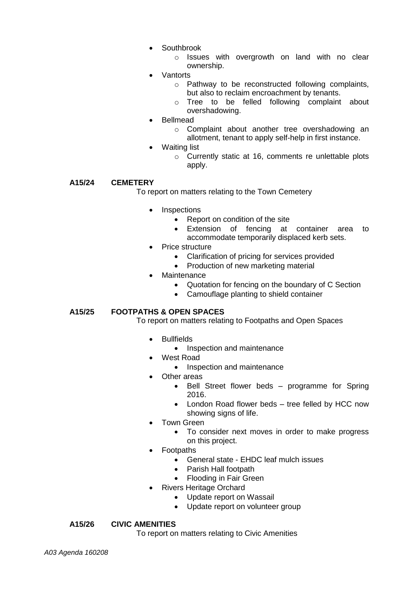Southbrook

o Issues with overgrowth on land with no clear ownership.

- Vantorts
	- o Pathway to be reconstructed following complaints, but also to reclaim encroachment by tenants.
	- o Tree to be felled following complaint about overshadowing.
- Bellmead
	- o Complaint about another tree overshadowing an allotment, tenant to apply self-help in first instance.
- Waiting list
	- o Currently static at 16, comments re unlettable plots apply.

# **A15/24 CEMETERY**

To report on matters relating to the Town Cemetery

- **Inspections** 
	- Report on condition of the site
	- Extension of fencing at container area to accommodate temporarily displaced kerb sets.
- Price structure
	- Clarification of pricing for services provided
	- Production of new marketing material
- Maintenance
	- Quotation for fencing on the boundary of C Section
	- Camouflage planting to shield container

### **A15/25 FOOTPATHS & OPEN SPACES**

To report on matters relating to Footpaths and Open Spaces

- Bullfields
	- Inspection and maintenance
- West Road
	- Inspection and maintenance
- Other areas
	- Bell Street flower beds programme for Spring 2016.
	- London Road flower beds tree felled by HCC now showing signs of life.
- Town Green
	- To consider next moves in order to make progress on this project.
- Footpaths
	- General state EHDC leaf mulch issues
	- Parish Hall footpath
	- Flooding in Fair Green
- Rivers Heritage Orchard
	- Update report on Wassail
	- Update report on volunteer group

### **A15/26 CIVIC AMENITIES**

To report on matters relating to Civic Amenities